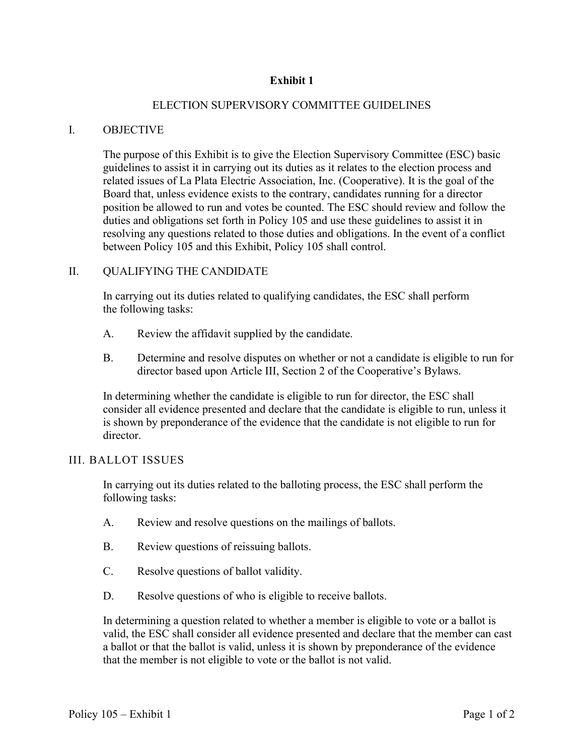# **Exhibit 1**

## ELECTION SUPERVISORY COMMITTEE GUIDELINES

#### I. OBJECTIVE

The purpose of this Exhibit is to give the Election Supervisory Committee (ESC) basic guidelines to assist it in carrying out its duties as it relates to the election process and related issues of La Plata Electric Association, Inc. (Cooperative). It is the goal of the Board that, unless evidence exists to the contrary, candidates running for a director position be allowed to run and votes be counted. The ESC should review and follow the duties and obligations set forth in Policy 105 and use these guidelines to assist it in resolving any questions related to those duties and obligations. In the event of a conflict between Policy 105 and this Exhibit, Policy 105 shall control.

#### II. QUALIFYING THE CANDIDATE

In carrying out its duties related to qualifying candidates, the ESC shall perform the following tasks:

- A. Review the affidavit supplied by the candidate.
- B. Determine and resolve disputes on whether or not a candidate is eligible to run for director based upon Article III, Section 2 of the Cooperative's Bylaws.

In determining whether the candidate is eligible to run for director, the ESC shall consider all evidence presented and declare that the candidate is eligible to run, unless it is shown by preponderance of the evidence that the candidate is not eligible to run for director.

## III. BALLOT ISSUES

In carrying out its duties related to the balloting process, the ESC shall perform the following tasks:

- A. Review and resolve questions on the mailings of ballots.
- B. Review questions of reissuing ballots.
- C. Resolve questions of ballot validity.
- D. Resolve questions of who is eligible to receive ballots.

In determining a question related to whether a member is eligible to vote or a ballot is valid, the ESC shall consider all evidence presented and declare that the member can cast a ballot or that the ballot is valid, unless it is shown by preponderance of the evidence that the member is not eligible to vote or the ballot is not valid.